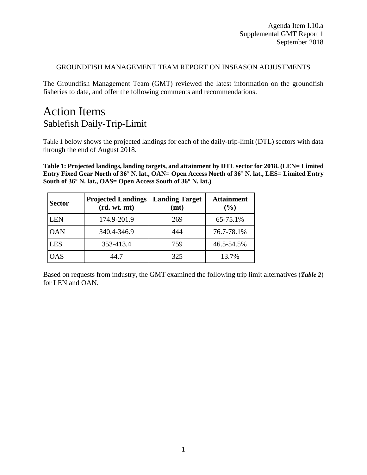### GROUNDFISH MANAGEMENT TEAM REPORT ON INSEASON ADJUSTMENTS

The Groundfish Management Team (GMT) reviewed the latest information on the groundfish fisheries to date, and offer the following comments and recommendations.

# Action Items Sablefish Daily-Trip-Limit

[Table 1](#page-0-0) below shows the projected landings for each of the daily-trip-limit (DTL) sectors with data through the end of August 2018.

<span id="page-0-0"></span>**Table 1: Projected landings, landing targets, and attainment by DTL sector for 2018. (LEN= Limited Entry Fixed Gear North of 36° N. lat., OAN= Open Access North of 36° N. lat., LES= Limited Entry South of 36° N. lat., OAS= Open Access South of 36° N. lat.)** 

| <b>Sector</b> | <b>Projected Landings</b><br>(rd. wt. mt) | <b>Landing Target</b><br>(mt) | <b>Attainment</b><br>(%) |
|---------------|-------------------------------------------|-------------------------------|--------------------------|
| <b>LEN</b>    | 174.9-201.9                               | 269                           | 65-75.1%                 |
| <b>OAN</b>    | 340.4-346.9                               | 444                           | 76.7-78.1%               |
| <b>LES</b>    | 353-413.4                                 | 759                           | 46.5-54.5%               |
| OAS           | 44.7                                      | 325                           | 13.7%                    |

Based on requests from industry, the GMT examined the following trip limit alternatives (*[Table 2](#page-1-0)*) for LEN and OAN.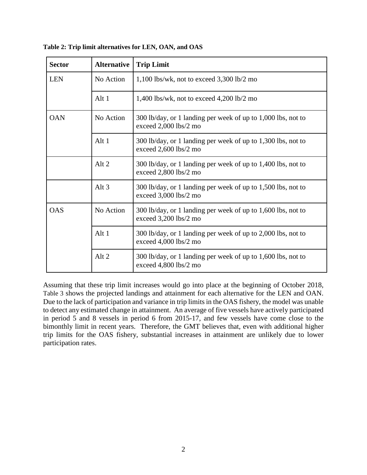| <b>Sector</b> | <b>Alternative</b> | <b>Trip Limit</b>                                                                       |
|---------------|--------------------|-----------------------------------------------------------------------------------------|
| <b>LEN</b>    | No Action          | $1,100$ lbs/wk, not to exceed $3,300$ lb/2 mo                                           |
|               | Alt 1              | 1,400 lbs/wk, not to exceed $4,200$ lb/2 mo                                             |
| <b>OAN</b>    | No Action          | 300 lb/day, or 1 landing per week of up to 1,000 lbs, not to<br>exceed 2,000 lbs/2 mo   |
|               | Alt 1              | 300 lb/day, or 1 landing per week of up to 1,300 lbs, not to<br>exceed $2,600$ lbs/2 mo |
|               | Alt <sub>2</sub>   | 300 lb/day, or 1 landing per week of up to 1,400 lbs, not to<br>exceed 2,800 lbs/2 mo   |
|               | Alt $3$            | 300 lb/day, or 1 landing per week of up to 1,500 lbs, not to<br>exceed 3,000 lbs/2 mo   |
| <b>OAS</b>    | No Action          | 300 lb/day, or 1 landing per week of up to 1,600 lbs, not to<br>exceed 3,200 lbs/2 mo   |
|               | Alt 1              | 300 lb/day, or 1 landing per week of up to 2,000 lbs, not to<br>exceed 4,000 lbs/2 mo   |
|               | Alt 2              | 300 lb/day, or 1 landing per week of up to 1,600 lbs, not to<br>exceed 4,800 lbs/2 mo   |

<span id="page-1-0"></span>**Table 2: Trip limit alternatives for LEN, OAN, and OAS**

Assuming that these trip limit increases would go into place at the beginning of October 2018, [Table 3](#page-2-0) shows the projected landings and attainment for each alternative for the LEN and OAN. Due to the lack of participation and variance in trip limits in the OAS fishery, the model was unable to detect any estimated change in attainment. An average of five vessels have actively participated in period 5 and 8 vessels in period 6 from 2015-17, and few vessels have come close to the bimonthly limit in recent years. Therefore, the GMT believes that, even with additional higher trip limits for the OAS fishery, substantial increases in attainment are unlikely due to lower participation rates.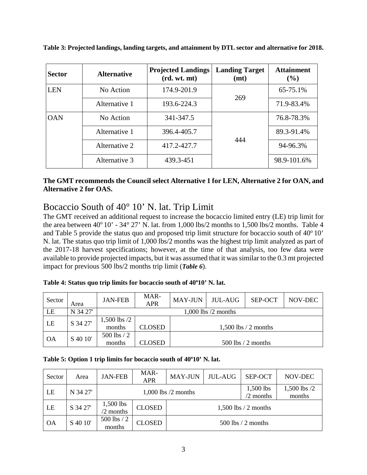| <b>Sector</b> | <b>Alternative</b> | <b>Projected Landings</b><br>(rd. wt. mt) | <b>Landing Target</b><br>(mt) | <b>Attainment</b><br>$(\%)$ |
|---------------|--------------------|-------------------------------------------|-------------------------------|-----------------------------|
| <b>LEN</b>    | No Action          | 174.9-201.9                               |                               | 65-75.1%                    |
|               | Alternative 1      | 193.6-224.3                               | 269                           | 71.9-83.4%                  |
| <b>OAN</b>    | No Action          | 341-347.5                                 |                               | 76.8-78.3%                  |
|               | Alternative 1      | 396.4-405.7                               |                               | 89.3-91.4%                  |
|               | Alternative 2      | 417.2-427.7                               | 444                           | 94-96.3%                    |
|               | Alternative 3      | 439.3-451                                 |                               | 98.9-101.6%                 |

<span id="page-2-0"></span>**Table 3: Projected landings, landing targets, and attainment by DTL sector and alternative for 2018.** 

### **The GMT recommends the Council select Alternative 1 for LEN, Alternative 2 for OAN, and Alternative 2 for OAS.**

# Bocaccio South of 40° 10' N. lat. Trip Limit

The GMT received an additional request to increase the bocaccio limited entry (LE) trip limit for the area between  $40^{\circ}$  10' -  $34^{\circ}$  27' N. lat. from 1,000 lbs/2 months to 1,500 lbs/2 months. [Table 4](#page-2-1) and [Table 5](#page-2-2) provide the status quo and proposed trip limit structure for bocaccio south of  $40^{\circ}10'$ N. lat. The status quo trip limit of 1,000 lbs/2 months was the highest trip limit analyzed as part of the 2017-18 harvest specifications; however, at the time of that analysis, too few data were available to provide projected impacts, but it was assumed that it was similar to the 0.3 mt projected impact for previous 500 lbs/2 months trip limit (*[Table 6](#page-3-0)*).

<span id="page-2-1"></span>

| Sector    | Area     | <b>JAN-FEB</b>             | MAR-<br><b>APR</b>      | <b>MAY-JUN</b>        | JUL-AUG | SEP-OCT                 | NOV-DEC |  |
|-----------|----------|----------------------------|-------------------------|-----------------------|---------|-------------------------|---------|--|
| LE        | N 34 27  |                            | $1,000$ lbs $/2$ months |                       |         |                         |         |  |
| LE        | S 34 27' | $1,500$ lbs $/2$<br>months | CLOSED                  |                       |         | $1,500$ lbs $/2$ months |         |  |
| <b>OA</b> | S 40 10' | $500$ lbs $/2$<br>months   | CLOSED                  | $500$ lbs $/2$ months |         |                         |         |  |

#### <span id="page-2-2"></span>Table 5: Option 1 trip limits for bocaccio south of 40°10' N. lat.

| Sector    | Area     | <b>JAN-FEB</b>                    | MAR-<br><b>APR</b>      | <b>MAY-JUN</b>           | <b>JUL-AUG</b>             | SEP-OCT | NOV-DEC |
|-----------|----------|-----------------------------------|-------------------------|--------------------------|----------------------------|---------|---------|
| LE        | N 34 27' |                                   | $1,000$ lbs $/2$ months | 1,500 lbs<br>$/2$ months | $1,500$ lbs $/2$<br>months |         |         |
| LE        | S 34 27' | 1,500 lbs<br>$\frac{1}{2}$ months | <b>CLOSED</b>           | $1,500$ lbs $/2$ months  |                            |         |         |
| <b>OA</b> | S 40 10' | 500 lbs / 2<br>months             | <b>CLOSED</b>           | $500$ lbs $/2$ months    |                            |         |         |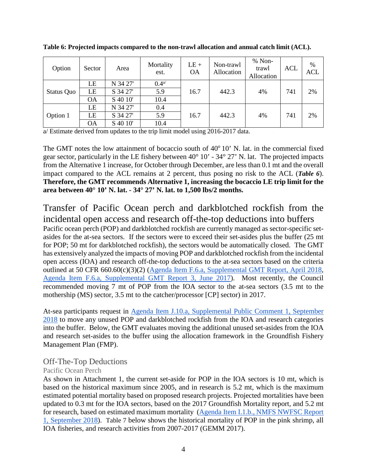| Option     | Sector    | Area     | Mortality<br>est.    | $LE +$<br><b>OA</b> | Non-trawl<br>Allocation | $% Non-$<br>trawl<br>Allocation | <b>ACL</b> | $\%$<br><b>ACL</b> |
|------------|-----------|----------|----------------------|---------------------|-------------------------|---------------------------------|------------|--------------------|
|            | LE        | N 34 27' | $0.4^{\alpha\prime}$ |                     |                         |                                 |            |                    |
| Status Quo | LE        | S 34 27' | 5.9                  | 16.7                | 442.3                   | 4%                              | 741        | 2%                 |
|            | <b>OA</b> | S 40 10' | 10.4                 |                     |                         |                                 |            |                    |
|            | LE        | N 34 27' | 0.4                  |                     |                         |                                 |            |                    |
| Option 1   | LE        | S 34 27' | 5.9                  | 16.7                | 442.3                   | 4%                              | 741        | 2%                 |
|            | <b>OA</b> | S 40 10' | 10.4                 |                     |                         |                                 |            |                    |

<span id="page-3-0"></span>**Table 6: Projected impacts compared to the non-trawl allocation and annual catch limit (ACL).**

a/ Estimate derived from updates to the trip limit model using 2016-2017 data.

The GMT notes the low attainment of bocaccio south of  $40^{\circ}$  10' N. lat. in the commercial fixed gear sector, particularly in the LE fishery between 40° 10' - 34° 27' N. lat. The projected impacts from the Alternative 1 increase, for October through December, are less than 0.1 mt and the overall impact compared to the ACL remains at 2 percent, thus posing no risk to the ACL (*[Table 6](#page-3-0)*). **Therefore, the GMT recommends Alternative 1, increasing the bocaccio LE trip limit for the area between 40° 10' N. lat. - 34° 27' N. lat. to 1,500 lbs/2 months.**

# Transfer of Pacific Ocean perch and darkblotched rockfish from the incidental open access and research off-the-top deductions into buffers

Pacific ocean perch (POP) and darkblotched rockfish are currently managed as sector-specific setasides for the at-sea sectors. If the sectors were to exceed their set-asides plus the buffer (25 mt for POP; 50 mt for darkblotched rockfish), the sectors would be automatically closed. The GMT has extensively analyzed the impacts of moving POP and darkblotched rockfish from the incidental open access (IOA) and research off-the-top deductions to the at-sea sectors based on the criteria outlined at 50 CFR 660.60(c)(3)(2) [\(Agenda Item F.6.a, Supplemental GMT Report, April 2018,](http://www.pcouncil.org/wp-content/uploads/2017/04/F6a_Sup_GMT_Rpt_Apr2017BB.pdf) [Agenda Item F.6.a, Supplemental GMT Report 3, June 2017\)](http://www.pcouncil.org/wp-content/uploads/2017/06/F10a_Sup_GMT_Rpt3_Jun2017BB.pdf). Most recently, the Council recommended moving 7 mt of POP from the IOA sector to the at-sea sectors (3.5 mt to the mothership (MS) sector, 3.5 mt to the catcher/processor [CP] sector) in 2017.

At-sea participants request in [Agenda Item J.10.a, Supplemental Public Comment 1, September](https://www.pcouncil.org/wp-content/uploads/2018/08/I10b_Supp_PubComm1_SEPT2018BB.pdf)  [2018](https://www.pcouncil.org/wp-content/uploads/2018/08/I10b_Supp_PubComm1_SEPT2018BB.pdf) to move any unused POP and darkblotched rockfish from the IOA and research categories into the buffer. Below, the GMT evaluates moving the additional unused set-asides from the IOA and research set-asides to the buffer using the allocation framework in the Groundfish Fishery Management Plan (FMP).

## Off-The-Top Deductions

### Pacific Ocean Perch

As shown in Attachment 1, the current set-aside for POP in the IOA sectors is 10 mt, which is based on the historical maximum since 2005, and in research is 5.2 mt, which is the maximum estimated potential mortality based on proposed research projects. Projected mortalities have been updated to 0.3 mt for the IOA sectors, based on the 2017 Groundfish Mortality report, and 5.2 mt for research, based on estimated maximum mortality [\(Agenda Item I.1.b., NMFS NWFSC Report](https://www.pcouncil.org/wp-content/uploads/2018/08/I1b_NMFS_NWFSC_Rpt1_E-Only_Est_Discard_Mortality_Groundfish_2017_SEPT2018BB.pdf)  [1, September 2018\)](https://www.pcouncil.org/wp-content/uploads/2018/08/I1b_NMFS_NWFSC_Rpt1_E-Only_Est_Discard_Mortality_Groundfish_2017_SEPT2018BB.pdf). [Table 7](#page-4-0) below shows the historical mortality of POP in the pink shrimp, all IOA fisheries, and research activities from 2007-2017 (GEMM 2017).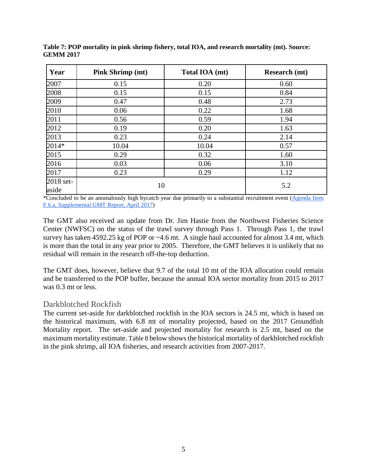| Year               | <b>Pink Shrimp (mt)</b> | Total IOA (mt) | <b>Research</b> (mt) |
|--------------------|-------------------------|----------------|----------------------|
| 2007               | 0.15                    | 0.20           | 0.60                 |
| 2008               | 0.15                    | 0.15           | 0.84                 |
| 2009               | 0.47                    | 0.48           | 2.73                 |
| 2010               | 0.06                    | 0.22           | 1.68                 |
| 2011               | 0.56                    | 0.59           | 1.94                 |
| 2012               | 0.19                    | 0.20           | 1.63                 |
| 2013               | 0.23                    | 0.24           | 2.14                 |
| 2014*              | 10.04                   | 10.04          | 0.57                 |
| 2015               | 0.29                    | 0.32           | 1.60                 |
| 2016               | 0.03                    | 0.06           | 3.10                 |
| 2017               | 0.23                    | 0.29           | 1.12                 |
| 2018 set-<br>aside | 10                      |                | 5.2                  |

<span id="page-4-0"></span>**Table 7: POP mortality in pink shrimp fishery, total IOA, and research mortality (mt). Source: GEMM 2017**

\*Concluded to be an anomalously high bycatch year due primarily to a substantial recruitment event (Agenda Item [F.6.a, Supplemental GMT Report, April 2017\)](http://www.pcouncil.org/wp-content/uploads/2017/04/F6a_Sup_GMT_Rpt_Apr2017BB.pdf)

The GMT also received an update from Dr. Jim Hastie from the Northwest Fisheries Science Center (NWFSC) on the status of the trawl survey through Pass 1. Through Pass 1, the trawl survey has taken 4592.25 kg of POP or ~4.6 mt. A single haul accounted for almost 3.4 mt, which is more than the total in any year prior to 2005. Therefore, the GMT believes it is unlikely that no residual will remain in the research off-the-top deduction.

The GMT does, however, believe that 9.7 of the total 10 mt of the IOA allocation could remain and be transferred to the POP buffer, because the annual IOA sector mortality from 2015 to 2017 was 0.3 mt or less.

## Darkblotched Rockfish

The current set-aside for darkblotched rockfish in the IOA sectors is 24.5 mt, which is based on the historical maximum, with 6.8 mt of mortality projected, based on the 2017 Groundfish Mortality report. The set-aside and projected mortality for research is 2.5 mt, based on the maximum mortality estimate[. Table 8](#page-5-0) below shows the historical mortality of darkblotched rockfish in the pink shrimp, all IOA fisheries, and research activities from 2007-2017.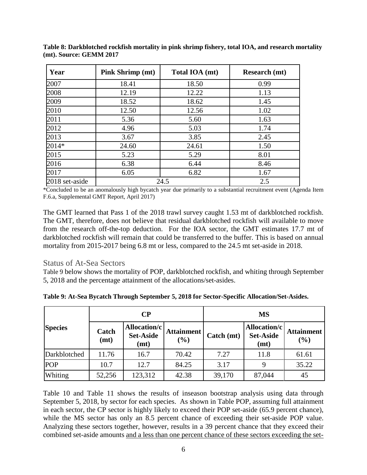| Year           | <b>Pink Shrimp (mt)</b> | Total IOA (mt) | <b>Research</b> (mt) |  |
|----------------|-------------------------|----------------|----------------------|--|
| 2007           | 18.41                   | 18.50          | 0.99                 |  |
| 2008           | 12.19                   | 12.22          | 1.13                 |  |
| 2009           | 18.52                   | 18.62          | 1.45                 |  |
| 2010           | 12.50                   | 12.56          | 1.02                 |  |
| 2011           | 5.36                    | 5.60           | 1.63                 |  |
| 2012           | 4.96                    | 5.03           | 1.74                 |  |
| 2013           | 3.67                    | 3.85           | 2.45                 |  |
| 2014*          | 24.60                   | 24.61          | 1.50                 |  |
| 2015           | 5.23                    | 5.29           | 8.01                 |  |
| 2016           | 6.38                    | 6.44           | 8.46                 |  |
| 2017           | 6.05                    | 6.82           | 1.67                 |  |
| 2018 set-aside |                         | 24.5           | 2.5                  |  |

<span id="page-5-0"></span>**Table 8: Darkblotched rockfish mortality in pink shrimp fishery, total IOA, and research mortality (mt). Source: GEMM 2017**

\*Concluded to be an anomalously high bycatch year due primarily to a substantial recruitment event (Agenda Item F.6.a, Supplemental GMT Report, April 2017)

The GMT learned that Pass 1 of the 2018 trawl survey caught 1.53 mt of darkblotched rockfish. The GMT, therefore, does not believe that residual darkblotched rockfish will available to move from the research off-the-top deduction. For the IOA sector, the GMT estimates 17.7 mt of darkblotched rockfish will remain that could be transferred to the buffer. This is based on annual mortality from 2015-2017 being 6.8 mt or less, compared to the 24.5 mt set-aside in 2018.

## Status of At-Sea Sectors

[Table 9](#page-5-1) below shows the mortality of POP, darkblotched rockfish, and whiting through September 5, 2018 and the percentage attainment of the allocations/set-asides.

|                |               | $\bf CP$                                 |                          | <b>MS</b>  |                                          |                             |  |
|----------------|---------------|------------------------------------------|--------------------------|------------|------------------------------------------|-----------------------------|--|
| <b>Species</b> | Catch<br>(mt) | Allocation/c<br><b>Set-Aside</b><br>(mt) | <b>Attainment</b><br>(%) | Catch (mt) | Allocation/c<br><b>Set-Aside</b><br>(mt) | <b>Attainment</b><br>$(\%)$ |  |
| Darkblotched   | 11.76         | 16.7                                     | 70.42                    | 7.27       | 11.8                                     | 61.61                       |  |
| <b>POP</b>     | 10.7          | 12.7                                     | 84.25                    | 3.17       | 9                                        | 35.22                       |  |
| Whiting        | 52,256        | 123,312                                  | 42.38                    | 39,170     | 87,044                                   | 45                          |  |

<span id="page-5-1"></span>**Table 9: At-Sea Bycatch Through September 5, 2018 for Sector-Specific Allocation/Set-Asides.**

[Table 10](#page-6-0) and [Table 11](#page-6-1) shows the results of inseason bootstrap analysis using data through September 5, 2018, by sector for each species. As shown in Table POP, assuming full attainment in each sector, the CP sector is highly likely to exceed their POP set-aside (65.9 percent chance), while the MS sector has only an 8.5 percent chance of exceeding their set-aside POP value. Analyzing these sectors together, however, results in a 39 percent chance that they exceed their combined set-aside amounts and a less than one percent chance of these sectors exceeding the set-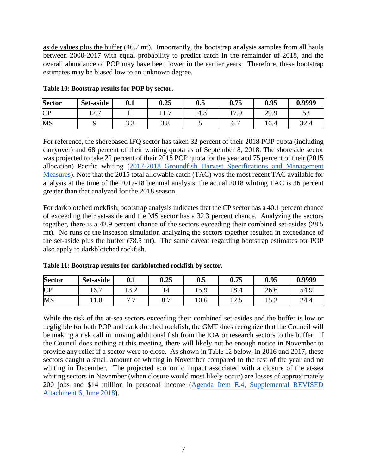aside values plus the buffer (46.7 mt). Importantly, the bootstrap analysis samples from all hauls between 2000-2017 with equal probability to predict catch in the remainder of 2018, and the overall abundance of POP may have been lower in the earlier years. Therefore, these bootstrap estimates may be biased low to an unknown degree.

| <b>Sector</b> | Set-aside                             | 0.1  | 0.25                          | 0.5  | 0.75            | 0.95 | 0.9999     |
|---------------|---------------------------------------|------|-------------------------------|------|-----------------|------|------------|
| <b>CP</b>     | $\overline{1}$ $\overline{2}$<br>14.I |      | $\overline{\phantom{0}}$<br>. | 14.3 | 17 Q<br>$\cdot$ | 29.9 | IJ         |
| MS            |                                       | ر. ر | J.O                           | ັ    | b.,             | 16.4 | 22<br>J2.4 |

<span id="page-6-0"></span>**Table 10: Bootstrap results for POP by sector.**

For reference, the shorebased IFQ sector has taken 32 percent of their 2018 POP quota (including carryover) and 68 percent of their whiting quota as of September 8, 2018. The shoreside sector was projected to take 22 percent of their 2018 POP quota for the year and 75 percent of their (2015 allocation) Pacific whiting [\(2017-2018 Groundfish Harvest Specifications and Management](http://www.pcouncil.org/wp-content/uploads/2016/09/17-18_Analytical_Document_Revised_Sept2016.pdf)  [Measures\)](http://www.pcouncil.org/wp-content/uploads/2016/09/17-18_Analytical_Document_Revised_Sept2016.pdf). Note that the 2015 total allowable catch (TAC) was the most recent TAC available for analysis at the time of the 2017-18 biennial analysis; the actual 2018 whiting TAC is 36 percent greater than that analyzed for the 2018 season.

For darkblotched rockfish, bootstrap analysis indicates that the CP sector has a 40.1 percent chance of exceeding their set-aside and the MS sector has a 32.3 percent chance. Analyzing the sectors together, there is a 42.9 percent chance of the sectors exceeding their combined set-asides (28.5 mt). No runs of the inseason simulation analyzing the sectors together resulted in exceedance of the set-aside plus the buffer (78.5 mt). The same caveat regarding bootstrap estimates for POP also apply to darkblotched rockfish.

<span id="page-6-1"></span>

| Table 11: Bootstrap results for darkblotched rockfish by sector. |  |  |  |  |  |  |  |
|------------------------------------------------------------------|--|--|--|--|--|--|--|
|------------------------------------------------------------------|--|--|--|--|--|--|--|

| <b>Sector</b> | Set-aside             | 0.1                 | 0.25           | 0.5           | 0.75                  | 0.95                      | 0.9999 |
|---------------|-----------------------|---------------------|----------------|---------------|-----------------------|---------------------------|--------|
| CP            | $\sim$ $\sim$<br>16.7 | ה הו                | 14             | 50<br>1 J . J | $\Omega$<br>10.4      | 26.6                      | 54.9   |
| MS            | 11.0                  | $\overline{ }$<br>- | -<br>Ω<br>0. I | 10.6          | $\sim$ $\sim$<br>⊥∠.J | $\epsilon$ $\sim$<br>1J.Z | 24.4   |

While the risk of the at-sea sectors exceeding their combined set-asides and the buffer is low or negligible for both POP and darkblotched rockfish, the GMT does recognize that the Council will be making a risk call in moving additional fish from the IOA or research sectors to the buffer. If the Council does nothing at this meeting, there will likely not be enough notice in November to provide any relief if a sector were to close. As shown in [Table 12](#page-7-0) below, in 2016 and 2017, these sectors caught a small amount of whiting in November compared to the rest of the year and no whiting in December. The projected economic impact associated with a closure of the at-sea whiting sectors in November (when closure would most likely occur) are losses of approximately 200 jobs and \$14 million in personal income [\(Agenda Item E.4, Supplemental REVISED](https://www.pcouncil.org/wp-content/uploads/2018/06/E4_Supp_REVISEDAtt6_Appendix_C_New_Management_Measures_June2018BB.pdf)  [Attachment 6, June 2018\)](https://www.pcouncil.org/wp-content/uploads/2018/06/E4_Supp_REVISEDAtt6_Appendix_C_New_Management_Measures_June2018BB.pdf).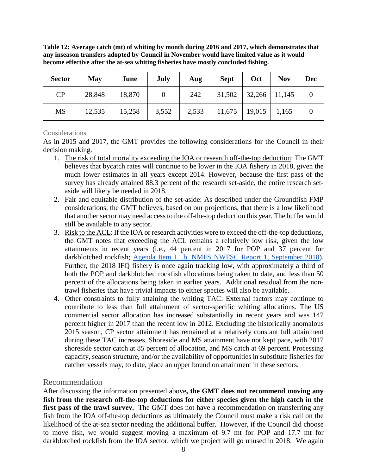<span id="page-7-0"></span>**Table 12: Average catch (mt) of whiting by month during 2016 and 2017, which demonstrates that any inseason transfers adopted by Council in November would have limited value as it would become effective after the at-sea whiting fisheries have mostly concluded fishing.** 

| <b>Sector</b> | May    | June   | July  | Aug   | <b>Sept</b> | Oct                        | <b>Nov</b> | <b>Dec</b> |
|---------------|--------|--------|-------|-------|-------------|----------------------------|------------|------------|
| CP            | 28,848 | 18,870 |       | 242   |             | $31,502$   32,266   11,145 |            |            |
| <b>MS</b>     | 12,535 | 15,258 | 3,552 | 2,533 | 11,675      | $19,015$ 1,165             |            |            |

### Considerations

As in 2015 and 2017, the GMT provides the following considerations for the Council in their decision making.

- 1. The risk of total mortality exceeding the IOA or research off-the-top deduction: The GMT believes that bycatch rates will continue to be lower in the IOA fishery in 2018, given the much lower estimates in all years except 2014. However, because the first pass of the survey has already attained 88.3 percent of the research set-aside, the entire research setaside will likely be needed in 2018.
- 2. Fair and equitable distribution of the set-aside: As described under the Groundfish FMP considerations, the GMT believes, based on our projections, that there is a low likelihood that another sector may need access to the off-the-top deduction this year. The buffer would still be available to any sector.
- 3. Risk to the ACL: If the IOA or research activities were to exceed the off-the-top deductions, the GMT notes that exceeding the ACL remains a relatively low risk, given the low attainments in recent years (i.e., 44 percent in 2017 for POP and 37 percent for darkblotched rockfish; [Agenda Item I.1.b. NMFS NWFSC Report](https://www.pcouncil.org/wp-content/uploads/2018/08/I1b_NMFS_NWFSC_Rpt1_E-Only_Est_Discard_Mortality_Groundfish_2017_SEPT2018BB.pdf) 1, September 2018). Further, the 2018 IFQ fishery is once again tracking low, with approximately a third of both the POP and darkblotched rockfish allocations being taken to date, and less than 50 percent of the allocations being taken in earlier years. Additional residual from the nontrawl fisheries that have trivial impacts to either species will also be available.
- 4. Other constraints to fully attaining the whiting TAC: External factors may continue to contribute to less than full attainment of sector-specific whiting allocations. The US commercial sector allocation has increased substantially in recent years and was 147 percent higher in 2017 than the recent low in 2012. Excluding the historically anomalous 2015 season, CP sector attainment has remained at a relatively constant full attainment during these TAC increases. Shoreside and MS attainment have not kept pace, with 2017 shoreside sector catch at 85 percent of allocation, and MS catch at 69 percent. Processing capacity, season structure, and/or the availability of opportunities in substitute fisheries for catcher vessels may, to date, place an upper bound on attainment in these sectors.

## Recommendation

After discussing the information presented above**, the GMT does not recommend moving any fish from the research off-the-top deductions for either species given the high catch in the**  first pass of the trawl survey. The GMT does not have a recommendation on transferring any fish from the IOA off-the-top deductions as ultimately the Council must make a risk call on the likelihood of the at-sea sector needing the additional buffer. However, if the Council did choose to move fish, we would suggest moving a maximum of 9.7 mt for POP and 17.7 mt for darkblotched rockfish from the IOA sector, which we project will go unused in 2018. We again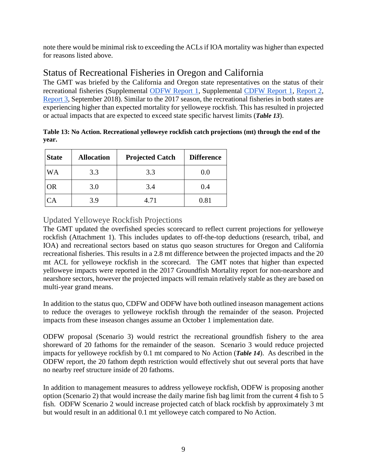note there would be minimal risk to exceeding the ACLs if IOA mortality was higher than expected for reasons listed above.

# Status of Recreational Fisheries in Oregon and California

The GMT was briefed by the California and Oregon state representatives on the status of their recreational fisheries (Supplemental [ODFW Report 1,](https://www.pcouncil.org/wp-content/uploads/2018/09/I10a_Supp_ODFW_Rpt1_SEPT2018BB.pdf) Supplemental [CDFW Report 1,](https://www.pcouncil.org/wp-content/uploads/2018/08/I10a_Supp_CDFW_Rpt1_SEPT2018BB.pdf) [Report 2,](https://www.pcouncil.org/wp-content/uploads/2018/09/I10a_Supp_CDFW_Rpt2_Inseason2-09-08-18_SEPT2018BB.pdf) [Report 3,](https://www.pcouncil.org/wp-content/uploads/2018/09/I10a_Supp_CDFW_Rpt3_SEPT2018BB.pdf) September 2018). Similar to the 2017 season, the recreational fisheries in both states are experiencing higher than expected mortality for yelloweye rockfish. This has resulted in projected or actual impacts that are expected to exceed state specific harvest limits (*[Table 13](#page-8-0)*).

<span id="page-8-0"></span>

|       | Table 13: No Action. Recreational yelloweye rockfish catch projections (mt) through the end of the |  |
|-------|----------------------------------------------------------------------------------------------------|--|
| vear. |                                                                                                    |  |

| <b>State</b> | <b>Allocation</b> | <b>Projected Catch</b> | <b>Difference</b> |
|--------------|-------------------|------------------------|-------------------|
| WA           | 3.3               | 3.3                    | 0.0               |
| OR           | 3.0               | 3.4                    | 0.4               |
|              | 3 Q               | 4.71                   | 0.81              |

## Updated Yelloweye Rockfish Projections

The GMT updated the overfished species scorecard to reflect current projections for yelloweye rockfish (Attachment 1). This includes updates to off-the-top deductions (research, tribal, and IOA) and recreational sectors based on status quo season structures for Oregon and California recreational fisheries. This results in a 2.8 mt difference between the projected impacts and the 20 mt ACL for yelloweye rockfish in the scorecard. The GMT notes that higher than expected yelloweye impacts were reported in the 2017 Groundfish Mortality report for non-nearshore and nearshore sectors, however the projected impacts will remain relatively stable as they are based on multi-year grand means.

In addition to the status quo, CDFW and ODFW have both outlined inseason management actions to reduce the overages to yelloweye rockfish through the remainder of the season. Projected impacts from these inseason changes assume an October 1 implementation date.

ODFW proposal (Scenario 3) would restrict the recreational groundfish fishery to the area shoreward of 20 fathoms for the remainder of the season. Scenario 3 would reduce projected impacts for yelloweye rockfish by 0.1 mt compared to No Action (*[Table 14](#page-9-0)*). As described in the ODFW report, the 20 fathom depth restriction would effectively shut out several ports that have no nearby reef structure inside of 20 fathoms.

In addition to management measures to address yelloweye rockfish, ODFW is proposing another option (Scenario 2) that would increase the daily marine fish bag limit from the current 4 fish to 5 fish. ODFW Scenario 2 would increase projected catch of black rockfish by approximately 3 mt but would result in an additional 0.1 mt yelloweye catch compared to No Action.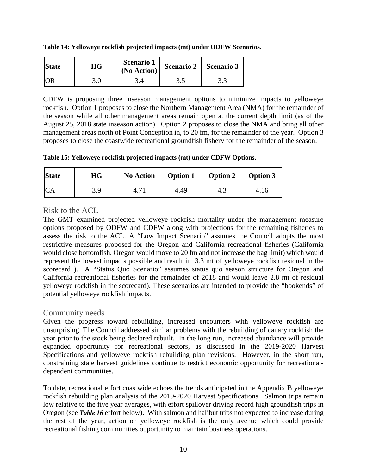| <b>State</b> | НG | <b>Scenario 1</b><br>(No Action) |     | Scenario 2   Scenario 3 |  |
|--------------|----|----------------------------------|-----|-------------------------|--|
|              |    |                                  | ں ر |                         |  |

<span id="page-9-0"></span>**Table 14: Yelloweye rockfish projected impacts (mt) under ODFW Scenarios.**

CDFW is proposing three inseason management options to minimize impacts to yelloweye rockfish. Option 1 proposes to close the Northern Management Area (NMA) for the remainder of the season while all other management areas remain open at the current depth limit (as of the August 25, 2018 state inseason action). Option 2 proposes to close the NMA and bring all other management areas north of Point Conception in, to 20 fm, for the remainder of the year. Option 3 proposes to close the coastwide recreational groundfish fishery for the remainder of the season.

**Table 15: Yelloweye rockfish projected impacts (mt) under CDFW Options.**

| <b>State</b> | <b>HG</b> | No Action |      | Option 1   Option 2 | <b>Option 3</b> |
|--------------|-----------|-----------|------|---------------------|-----------------|
| <b>CA</b>    | 3.9       |           | 4.49 | 4.∴                 |                 |

## Risk to the ACL

The GMT examined projected yelloweye rockfish mortality under the management measure options proposed by ODFW and CDFW along with projections for the remaining fisheries to assess the risk to the ACL. A "Low Impact Scenario" assumes the Council adopts the most restrictive measures proposed for the Oregon and California recreational fisheries (California would close bottomfish, Oregon would move to 20 fm and not increase the bag limit) which would represent the lowest impacts possible and result in 3.3 mt of yelloweye rockfish residual in the scorecard ). A "Status Quo Scenario" assumes status quo season structure for Oregon and California recreational fisheries for the remainder of 2018 and would leave 2.8 mt of residual yelloweye rockfish in the scorecard). These scenarios are intended to provide the "bookends" of potential yelloweye rockfish impacts.

## Community needs

Given the progress toward rebuilding, increased encounters with yelloweye rockfish are unsurprising. The Council addressed similar problems with the rebuilding of canary rockfish the year prior to the stock being declared rebuilt. In the long run, increased abundance will provide expanded opportunity for recreational sectors, as discussed in the 2019-2020 Harvest Specifications and yelloweye rockfish rebuilding plan revisions. However, in the short run, constraining state harvest guidelines continue to restrict economic opportunity for recreationaldependent communities.

To date, recreational effort coastwide echoes the trends anticipated in the Appendix B yelloweye rockfish rebuilding plan analysis of the 2019-2020 Harvest Specifications. Salmon trips remain low relative to the five year averages, with effort spillover driving record high groundfish trips in Oregon (see *[Table 16](#page-10-0)* effort below). With salmon and halibut trips not expected to increase during the rest of the year, action on yelloweye rockfish is the only avenue which could provide recreational fishing communities opportunity to maintain business operations.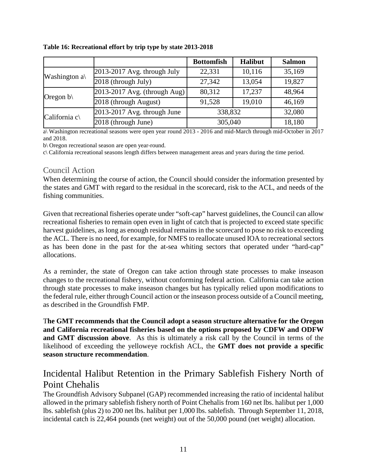|                           |                              | <b>Bottomfish</b> | <b>Halibut</b> | <b>Salmon</b> |
|---------------------------|------------------------------|-------------------|----------------|---------------|
| Washington $a\$           | 2013-2017 Avg. through July  | 22,331            | 10,116         | 35,169        |
|                           | 2018 (through July)          | 27,342            | 13,054         | 19,827        |
|                           | 2013-2017 Avg. (through Aug) | 80,312            | 17,237         | 48,964        |
| Oregon $b \setminus$      | 2018 (through August)        | 91,528            | 19,010         | 46,169        |
| California $c \backslash$ | 2013-2017 Avg. through June  | 338,832           |                | 32,080        |
|                           | 2018 (through June)          | 305,040           |                | 18,180        |

<span id="page-10-0"></span>**Table 16: Recreational effort by trip type by state 2013-2018** 

a\ Washington recreational seasons were open year round 2013 - 2016 and mid-March through mid-October in 2017 and 2018.

b\ Oregon recreational season are open year-round.

c\ California recreational seasons length differs between management areas and years during the time period.

## Council Action

When determining the course of action, the Council should consider the information presented by the states and GMT with regard to the residual in the scorecard, risk to the ACL, and needs of the fishing communities.

Given that recreational fisheries operate under "soft-cap" harvest guidelines, the Council can allow recreational fisheries to remain open even in light of catch that is projected to exceed state specific harvest guidelines, as long as enough residual remains in the scorecard to pose no risk to exceeding the ACL. There is no need, for example, for NMFS to reallocate unused IOA to recreational sectors as has been done in the past for the at-sea whiting sectors that operated under "hard-cap" allocations.

As a reminder, the state of Oregon can take action through state processes to make inseason changes to the recreational fishery, without conforming federal action. California can take action through state processes to make inseason changes but has typically relied upon modifications to the federal rule, either through Council action or the inseason process outside of a Council meeting, as described in the Groundfish FMP.

T**he GMT recommends that the Council adopt a season structure alternative for the Oregon and California recreational fisheries based on the options proposed by CDFW and ODFW and GMT discussion above**. As this is ultimately a risk call by the Council in terms of the likelihood of exceeding the yelloweye rockfish ACL, the **GMT does not provide a specific season structure recommendation**.

# Incidental Halibut Retention in the Primary Sablefish Fishery North of Point Chehalis

The Groundfish Advisory Subpanel (GAP) recommended increasing the ratio of incidental halibut allowed in the primary sablefish fishery north of Point Chehalis from 160 net lbs. halibut per 1,000 lbs. sablefish (plus 2) to 200 net lbs. halibut per 1,000 lbs. sablefish. Through September 11, 2018, incidental catch is 22,464 pounds (net weight) out of the 50,000 pound (net weight) allocation.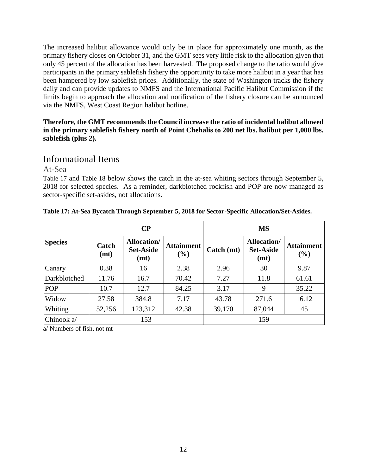The increased halibut allowance would only be in place for approximately one month, as the primary fishery closes on October 31, and the GMT sees very little risk to the allocation given that only 45 percent of the allocation has been harvested. The proposed change to the ratio would give participants in the primary sablefish fishery the opportunity to take more halibut in a year that has been hampered by low sablefish prices. Additionally, the state of Washington tracks the fishery daily and can provide updates to NMFS and the International Pacific Halibut Commission if the limits begin to approach the allocation and notification of the fishery closure can be announced via the NMFS, West Coast Region halibut hotline.

### **Therefore, the GMT recommends the Council increase the ratio of incidental halibut allowed in the primary sablefish fishery north of Point Chehalis to 200 net lbs. halibut per 1,000 lbs. sablefish (plus 2).**

## Informational Items

At-Sea

[Table 17](#page-11-0) and [Table 18](#page-12-0) below shows the catch in the at-sea whiting sectors through September 5, 2018 for selected species. As a reminder, darkblotched rockfish and POP are now managed as sector-specific set-asides, not allocations.

|                |               | $\bf CP$                                        |                          | <b>MS</b>                 |                                                |                          |  |
|----------------|---------------|-------------------------------------------------|--------------------------|---------------------------|------------------------------------------------|--------------------------|--|
| <b>Species</b> | Catch<br>(mt) | <b>Allocation</b> /<br><b>Set-Aside</b><br>(mt) | <b>Attainment</b><br>(%) | $\text{Catch}(\text{mt})$ | <b>Allocation/</b><br><b>Set-Aside</b><br>(mt) | <b>Attainment</b><br>(%) |  |
| Canary         | 0.38          | 16                                              | 2.38                     | 2.96                      | 30                                             | 9.87                     |  |
| Darkblotched   | 11.76         | 16.7                                            | 70.42                    | 7.27                      | 11.8                                           | 61.61                    |  |
| <b>POP</b>     | 10.7          | 12.7                                            | 84.25                    | 3.17                      | 9                                              | 35.22                    |  |
| Widow          | 27.58         | 384.8                                           | 7.17                     | 43.78                     | 271.6                                          | 16.12                    |  |
| Whiting        | 52,256        | 123,312                                         | 42.38                    | 39,170                    | 87,044                                         | 45                       |  |
| Chinook a/     |               | 153                                             |                          |                           | 159                                            |                          |  |

### <span id="page-11-0"></span>**Table 17: At-Sea Bycatch Through September 5, 2018 for Sector-Specific Allocation/Set-Asides.**

a/ Numbers of fish, not mt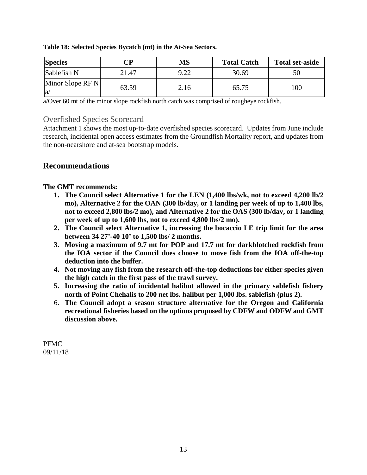| <b>Species</b>         | $\mathbb{C}\mathbf{P}$ | MS   | <b>Total Catch</b> | <b>Total set-aside</b> |
|------------------------|------------------------|------|--------------------|------------------------|
| Sablefish N            | 21.47                  | 9.22 | 30.69              |                        |
| Minor Slope RF N<br>la | 63.59                  | 2.16 | 65.75              | $.00\,$                |

<span id="page-12-0"></span>**Table 18: Selected Species Bycatch (mt) in the At-Sea Sectors.**

a/Over 60 mt of the minor slope rockfish north catch was comprised of rougheye rockfish.

## Overfished Species Scorecard

Attachment 1 shows the most up-to-date overfished species scorecard. Updates from June include research, incidental open access estimates from the Groundfish Mortality report, and updates from the non-nearshore and at-sea bootstrap models.

## **Recommendations**

**The GMT recommends:**

- **1. The Council select Alternative 1 for the LEN (1,400 lbs/wk, not to exceed 4,200 lb/2 mo), Alternative 2 for the OAN (300 lb/day, or 1 landing per week of up to 1,400 lbs, not to exceed 2,800 lbs/2 mo), and Alternative 2 for the OAS (300 lb/day, or 1 landing per week of up to 1,600 lbs, not to exceed 4,800 lbs/2 mo).**
- **2. The Council select Alternative 1, increasing the bocaccio LE trip limit for the area between 34 27'-40 10' to 1,500 lbs/ 2 months.**
- **3. Moving a maximum of 9.7 mt for POP and 17.7 mt for darkblotched rockfish from the IOA sector if the Council does choose to move fish from the IOA off-the-top deduction into the buffer.**
- **4. Not moving any fish from the research off-the-top deductions for either species given the high catch in the first pass of the trawl survey.**
- **5. Increasing the ratio of incidental halibut allowed in the primary sablefish fishery north of Point Chehalis to 200 net lbs. halibut per 1,000 lbs. sablefish (plus 2).**
- 6. **The Council adopt a season structure alternative for the Oregon and California recreational fisheries based on the options proposed by CDFW and ODFW and GMT discussion above.**

PFMC 09/11/18